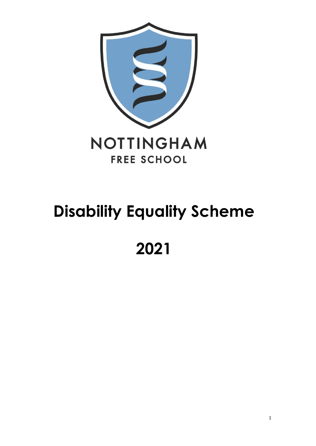

# **Disability Equality Scheme**

##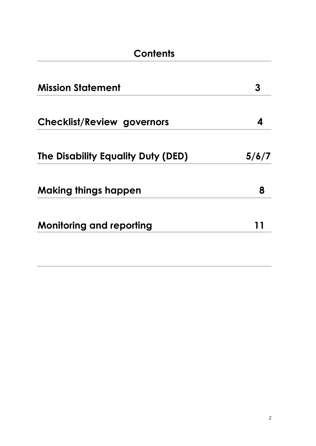| Contents                           |       |  |  |  |
|------------------------------------|-------|--|--|--|
| <b>Mission Statement</b>           | 3     |  |  |  |
| <b>Checklist/Review governors</b>  | 4     |  |  |  |
| The Disability Equality Duty (DED) | 5/6/7 |  |  |  |
| <b>Making things happen</b>        | 8     |  |  |  |
| <b>Monitoring and reporting</b>    |       |  |  |  |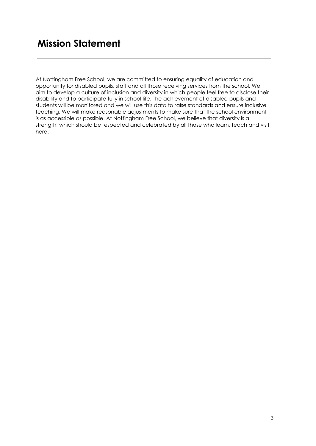### **Mission Statement**

At Nottingham Free School, we are committed to ensuring equality of education and opportunity for disabled pupils, staff and all those receiving services from the school. We aim to develop a culture of inclusion and diversity in which people feel free to disclose their disability and to participate fully in school life. The achievement of disabled pupils and students will be monitored and we will use this data to raise standards and ensure inclusive teaching. We will make reasonable adjustments to make sure that the school environment is as accessible as possible. At Nottingham Free School, we believe that diversity is a strength, which should be respected and celebrated by all those who learn, teach and visit here.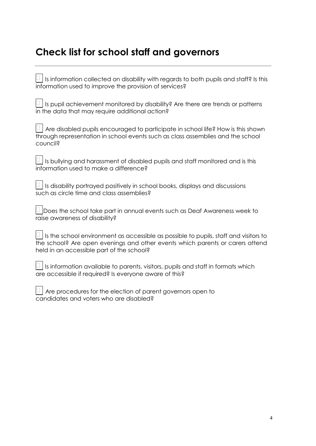## **Check list for school staff and governors**

| $\Box$ Is information collected on disability with regards to both pupils and staff? Is this<br>information used to improve the provision of services?                                                                    |
|---------------------------------------------------------------------------------------------------------------------------------------------------------------------------------------------------------------------------|
| $\Box$ Is pupil achievement monitored by disability? Are there are trends or patterns<br>in the data that may require additional action?                                                                                  |
| $\Box$ Are disabled pupils encouraged to participate in school life? How is this shown<br>through representation in school events such as class assemblies and the school<br>council?                                     |
| $\Box$ Is bullying and harassment of disabled pupils and staff monitored and is this<br>information used to make a difference?                                                                                            |
| $\Box$ Is disability portrayed positively in school books, displays and discussions<br>such as circle time and class assemblies?                                                                                          |
| $\Box$ Does the school take part in annual events such as Deaf Awareness week to<br>raise awareness of disability?                                                                                                        |
| $\Box$ Is the school environment as accessible as possible to pupils, staff and visitors to<br>the school? Are open evenings and other events which parents or carers attend<br>held in an accessible part of the school? |
| $\Box$ Is information available to parents, visitors, pupils and staff in formats which<br>are accessible if required? Is everyone aware of this?                                                                         |
| $\Box$ Are procedures for the election of parent governors open to<br>candidates and voters who are disabled?                                                                                                             |
|                                                                                                                                                                                                                           |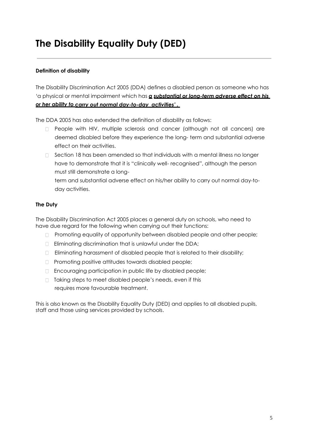## **The Disability Equality Duty (DED)**

#### **Definition of disability**

The Disability Discrimination Act 2005 (DDA) defines a disabled person as someone who has 'a physical or mental impairment which has *a substantial or long-term adverse effect on his or her ability to carry out normal day-to-day activities' .* 

The DDA 2005 has also extended the definition of disability as follows:

- People with HIV, multiple sclerosis and cancer (although not all cancers) are  $\Box$ deemed disabled before they experience the long- term and substantial adverse effect on their activities.
- $\Box$  Section 18 has been amended so that individuals with a mental illness no longer have to demonstrate that it is "clinically well- recognised", although the person must still demonstrate a long-

term and substantial adverse effect on his/her ability to carry out normal day-today activities.

#### **The Duty**

The Disability Discrimination Act 2005 places a general duty on schools, who need to have due regard for the following when carrying out their functions:

- **Promoting equality of opportunity between disabled people and other people;**
- **Eliminating discrimination that is unlawful under the DDA;**
- Eliminating harassment of disabled people that is related to their disability;
- □ Promoting positive attitudes towards disabled people;
- □ Encouraging participation in public life by disabled people;
- □ Taking steps to meet disabled people's needs, even if this requires more favourable treatment.

This is also known as the Disability Equality Duty (DED) and applies to all disabled pupils, staff and those using services provided by schools.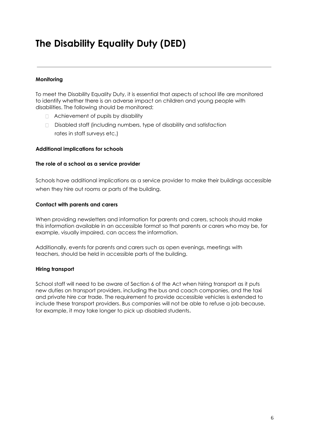## **The Disability Equality Duty (DED)**

#### **Monitoring**

To meet the Disability Equality Duty, it is essential that aspects of school life are monitored to identify whether there is an adverse impact on children and young people with disabilities. The following should be monitored:

- Achievement of pupils by disability
- Disabled staff (including numbers, type of disability and satisfaction rates in staff surveys etc.)

#### **Additional implications for schools**

#### **The role of a school as a service provider**

Schools have additional implications as a service provider to make their buildings accessible when they hire out rooms or parts of the building.

#### **Contact with parents and carers**

When providing newsletters and information for parents and carers, schools should make this information available in an accessible format so that parents or carers who may be, for example, visually impaired, can access the information.

Additionally, events for parents and carers such as open evenings, meetings with teachers, should be held in accessible parts of the building.

#### **Hiring transport**

School staff will need to be aware of Section 6 of the Act when hiring transport as it puts new duties on transport providers, including the bus and coach companies, and the taxi and private hire car trade. The requirement to provide accessible vehicles is extended to include these transport providers. Bus companies will not be able to refuse a job because, for example, it may take longer to pick up disabled students.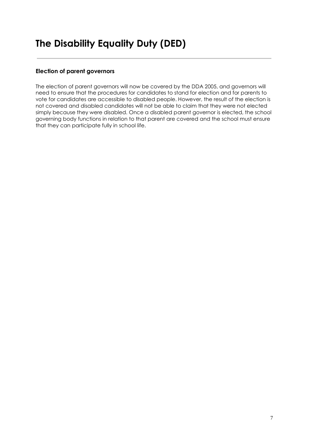#### **Election of parent governors**

The election of parent governors will now be covered by the DDA 2005, and governors will need to ensure that the procedures for candidates to stand for election and for parents to vote for candidates are accessible to disabled people. However, the result of the election is not covered and disabled candidates will not be able to claim that they were not elected simply because they were disabled. Once a disabled parent governor is elected, the school governing body functions in relation to that parent are covered and the school must ensure that they can participate fully in school life.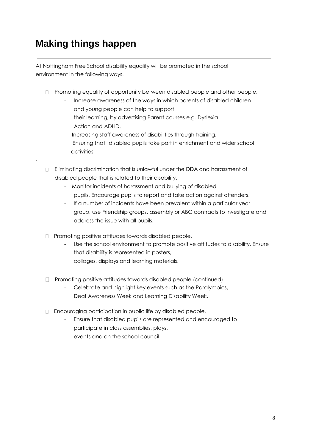## **Making things happen**

-

At Nottingham Free School disability equality will be promoted in the school environment in the following ways.

- **Promoting equality of opportunity between disabled people and other people.** 
	- Increase awareness of the ways in which parents of disabled children and young people can help to support their learning, by advertising Parent courses e.g. Dyslexia Action and ADHD.
	- Increasing staff awareness of disabilities through training. Ensuring that disabled pupils take part in enrichment and wider school activities
- Eliminating discrimination that is unlawful under the DDA and harassment of disabled people that is related to their disability.
	- Monitor incidents of harassment and bullying of disabled pupils. Encourage pupils to report and take action against offenders.
	- If a number of incidents have been prevalent within a particular year group, use Friendship groups, assembly or ABC contracts to investigate and address the issue with all pupils.
- $\Box$  Promoting positive attitudes towards disabled people.
	- Use the school environment to promote positive attitudes to disability. Ensure that disability is represented in posters, collages, displays and learning materials.
- Promoting positive attitudes towards disabled people (continued)
	- Celebrate and highlight key events such as the Paralympics, Deaf Awareness Week and Learning Disability Week.
- Encouraging participation in public life by disabled people.
	- Ensure that disabled pupils are represented and encouraged to participate in class assemblies, plays, events and on the school council.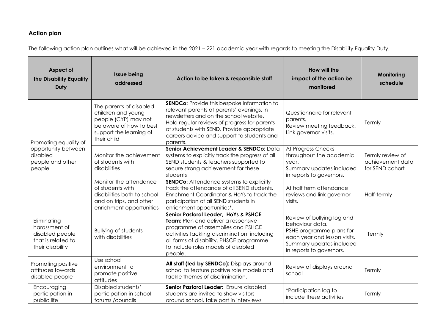### **Action plan**

The following action plan outlines what will be achieved in the 2021 – 221 academic year with regards to meeting the Disability Equality Duty.

| Aspect of<br>the Disability Equality<br>Duty                                              | <b>Issue being</b><br>addressed                                                                                                            | Action to be taken & responsible staff                                                                                                                                                                                                                                                            | How will the<br>impact of the action be<br>monitored                                                                                                              | Monitoring<br>schedule                                  |
|-------------------------------------------------------------------------------------------|--------------------------------------------------------------------------------------------------------------------------------------------|---------------------------------------------------------------------------------------------------------------------------------------------------------------------------------------------------------------------------------------------------------------------------------------------------|-------------------------------------------------------------------------------------------------------------------------------------------------------------------|---------------------------------------------------------|
| Promoting equality of<br>opportunity between<br>disabled<br>people and other<br>people    | The parents of disabled<br>children and young<br>people (CYP) may not<br>be aware of how to best<br>support the learning of<br>their child | <b>SENDCo:</b> Provide this bespoke information to<br>relevant parents at parents' evenings, in<br>newsletters and on the school website.<br>Hold regular reviews of progress for parents<br>of students with SEND. Provide appropriate<br>careers advice and support to students and<br>parents. | Questionnaire for relevant<br>parents.<br>Review meeting feedback.<br>Link governor visits.                                                                       | Termly                                                  |
|                                                                                           | Monitor the achievement<br>of students with<br>disabilities                                                                                | Senior Achievement Leader & SENDCo: Data<br>systems to explicitly track the progress of all<br>SEND students & teachers supported to<br>secure strong achievement for these<br>students                                                                                                           | At Progress Checks<br>throughout the academic<br>year.<br>Summary updates included<br>in reports to governors.                                                    | Termly review of<br>achievement data<br>for SEND cohort |
|                                                                                           | Monitor the attendance<br>of students with<br>disabilities both to school<br>and on trips, and other<br>enrichment opportunities           | <b>SENDCo:</b> Attendance systems to explicitly<br>track the attendance of all SEND students.<br>Enrichment Coordinator & HoYs to track the<br>participation of all SEND students in<br>enrichment opportunities*.                                                                                | At half term attendance<br>reviews and link governor<br>visits.                                                                                                   | Half-termly                                             |
| Eliminating<br>harassment of<br>disabled people<br>that is related to<br>their disability | <b>Bullying of students</b><br>with disabilities                                                                                           | Senior Pastoral Leader, HoYs & PSHCE<br>Team: Plan and deliver a responsive<br>programme of assemblies and PSHCE<br>activities tackling discrimination, including<br>all forms of disability. PHSCE programme<br>to include roles models of disabled<br>people.                                   | Review of bullying log and<br>behaviour data.<br>PSHE programme plans for<br>each year and lesson visits.<br>Summary updates included<br>in reports to governors. | Termly                                                  |
| Promoting positive<br>attitudes towards<br>disabled people                                | Use school<br>environment to<br>promote positive<br>attitudes                                                                              | All staff (led by SENDCo): Displays around<br>school to feature positive role models and<br>tackle themes of discrimination.                                                                                                                                                                      | Review of displays around<br>school                                                                                                                               | Termly                                                  |
| Encouraging<br>participation in<br>public life                                            | Disabled students'<br>participation in school<br>forums / councils                                                                         | Senior Pastoral Leader: Ensure disabled<br>students are invited to show visitors<br>around school, take part in interviews                                                                                                                                                                        | *Participation log to<br>include these activities                                                                                                                 | Termly                                                  |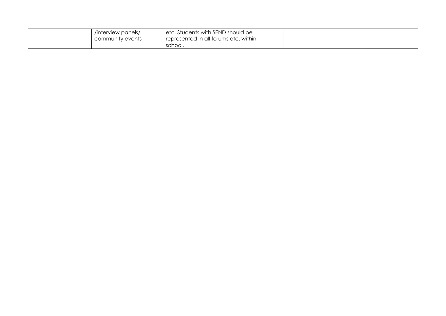| /interview panels/<br>I community events | <sup>1</sup> etc. Students with SEND should be<br>represented in all forums etc. within |  |
|------------------------------------------|-----------------------------------------------------------------------------------------|--|
|                                          | school.                                                                                 |  |